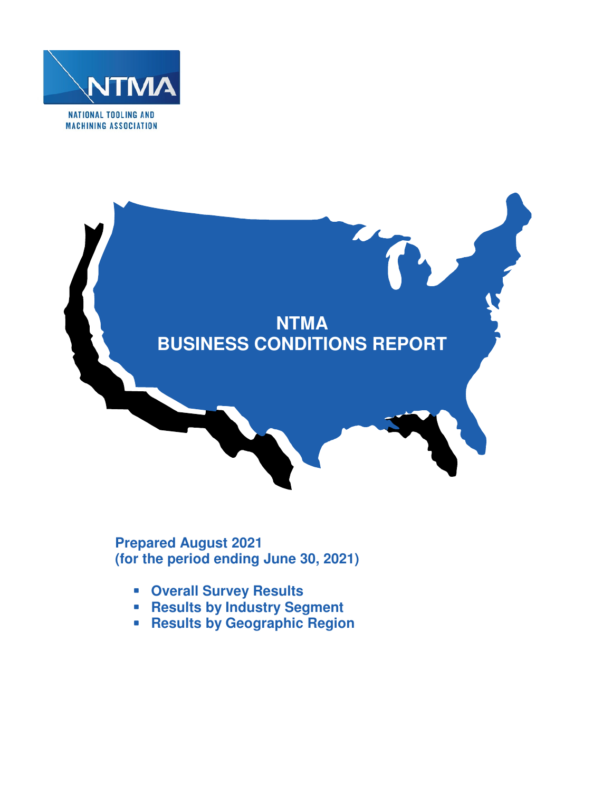



**Prepared August 2021 (for the period ending June 30, 2021)** 

- **Overall Survey Results**
- **Results by Industry Segment**
- **Results by Geographic Region**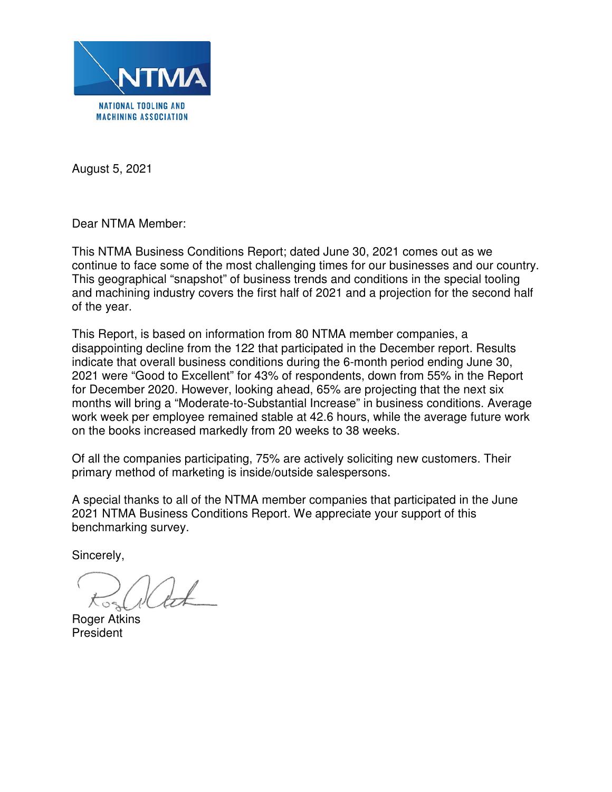

August 5, 2021

Dear NTMA Member:

This NTMA Business Conditions Report; dated June 30, 2021 comes out as we continue to face some of the most challenging times for our businesses and our country. This geographical "snapshot" of business trends and conditions in the special tooling and machining industry covers the first half of 2021 and a projection for the second half of the year.

This Report, is based on information from 80 NTMA member companies, a disappointing decline from the 122 that participated in the December report. Results indicate that overall business conditions during the 6-month period ending June 30, 2021 were "Good to Excellent" for 43% of respondents, down from 55% in the Report for December 2020. However, looking ahead, 65% are projecting that the next six months will bring a "Moderate-to-Substantial Increase" in business conditions. Average work week per employee remained stable at 42.6 hours, while the average future work on the books increased markedly from 20 weeks to 38 weeks.

Of all the companies participating, 75% are actively soliciting new customers. Their primary method of marketing is inside/outside salespersons.

A special thanks to all of the NTMA member companies that participated in the June 2021 NTMA Business Conditions Report. We appreciate your support of this benchmarking survey.

Sincerely,

Roger Atkins President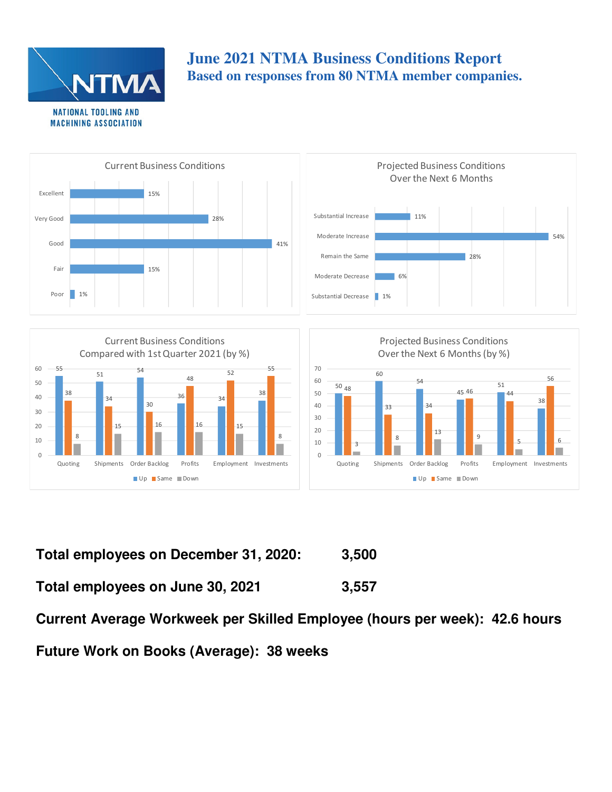

8

 $\Omega$ 10

# **June 2021 NTMA Business Conditions Report Based on responses from 80 NTMA member companies.**



8

3

 $\Omega$ 10 8

9

Quoting Shipments Order Backlog Profits Employment Investments

Up Same Down

5 6

**Total employees on December 31, 2020: 3,500 Total employees on June 30, 2021 3,557** 

**Current Average Workweek per Skilled Employee (hours per week): 42.6 hours** 

**Future Work on Books (Average): 38 weeks** 

Quoting Shipments Order Backlog Profits Employment Investments

Up Same Down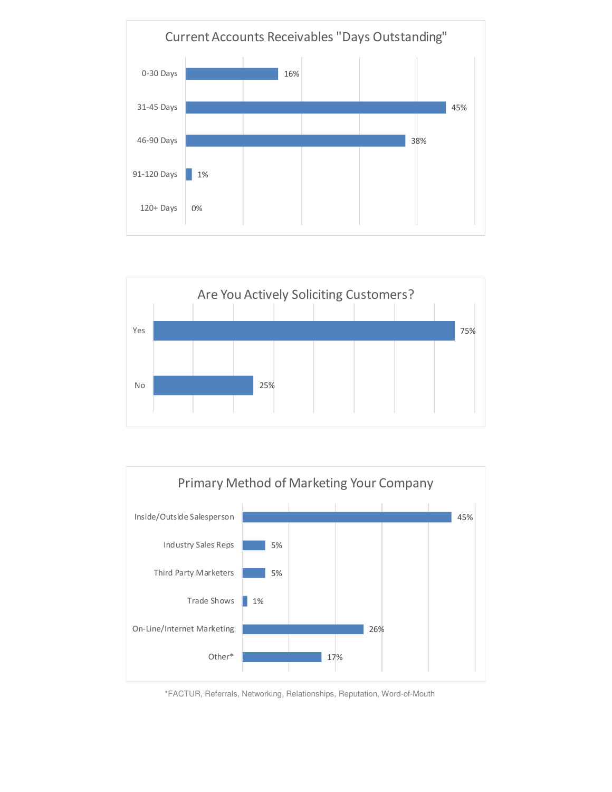





\*FACTUR, Referrals, Networking, Relationships, Reputation, Word-of-Mouth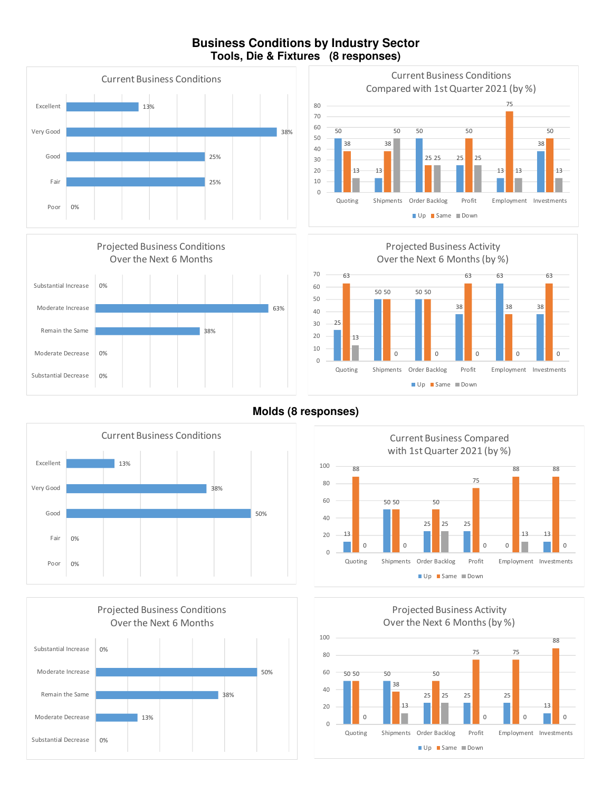### **Business Conditions by Industry Sector Tools, Die & Fixtures (8 responses)**









**Molds (8 responses)** 







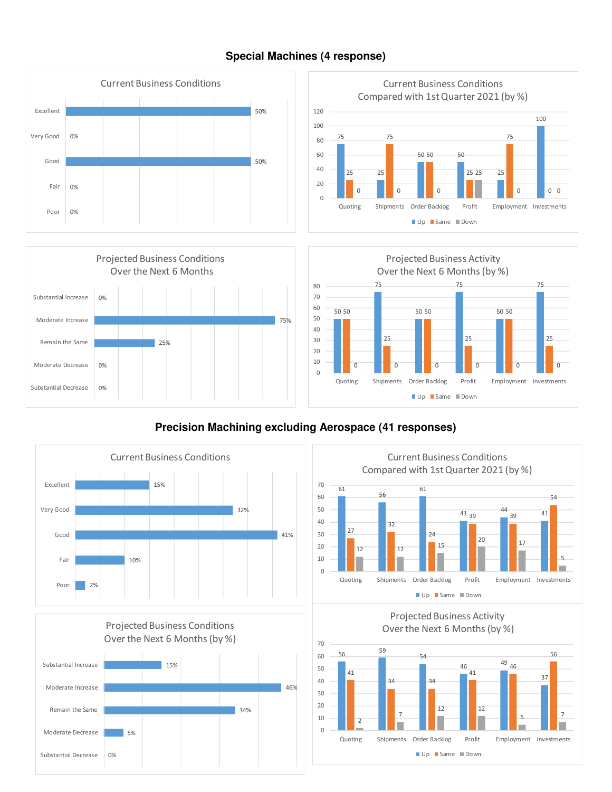

### **Special Machines (4 response)**

## **Precision Machining excluding Aerospace (41 responses)**









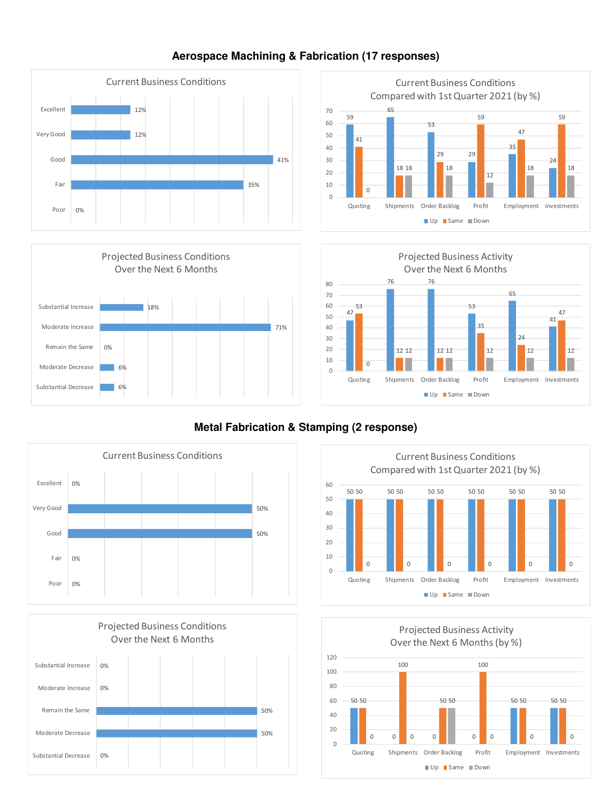

### **Aerospace Machining & Fabrication (17 responses)**







## **Metal Fabrication & Stamping (2 response)**







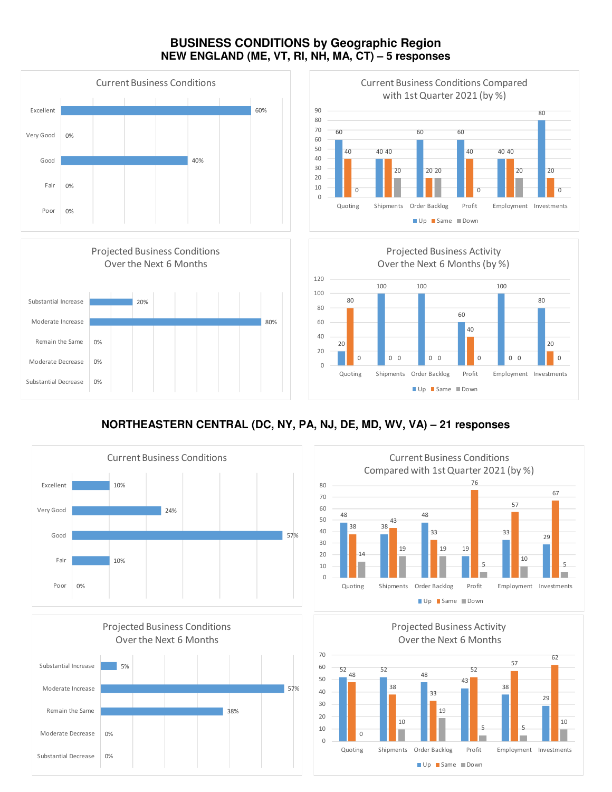### **BUSINESS CONDITIONS by Geographic Region NEW ENGLAND (ME, VT, RI, NH, MA, CT) – 5 responses**









## **NORTHEASTERN CENTRAL (DC, NY, PA, NJ, DE, MD, WV, VA) – 21 responses**







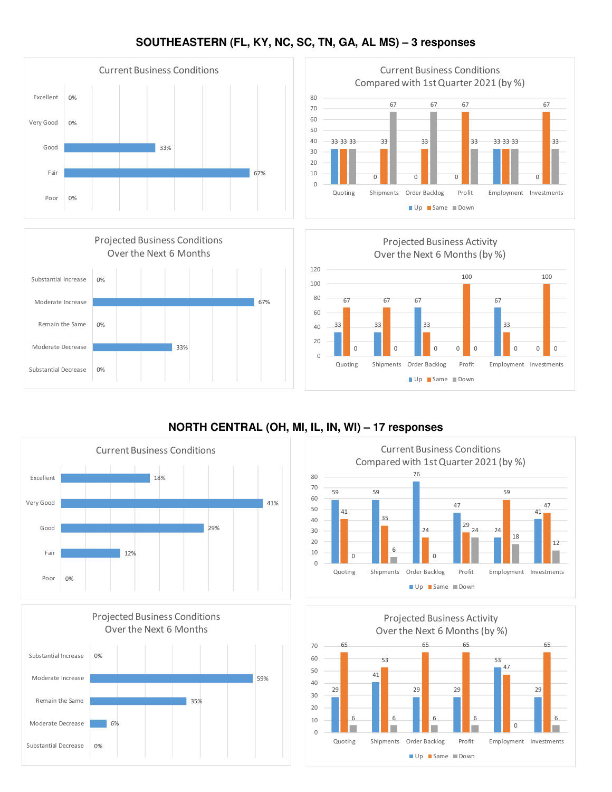### **SOUTHEASTERN (FL, KY, NC, SC, TN, GA, AL MS) – 3 responses**









## **NORTH CENTRAL (OH, MI, IL, IN, WI) – 17 responses**







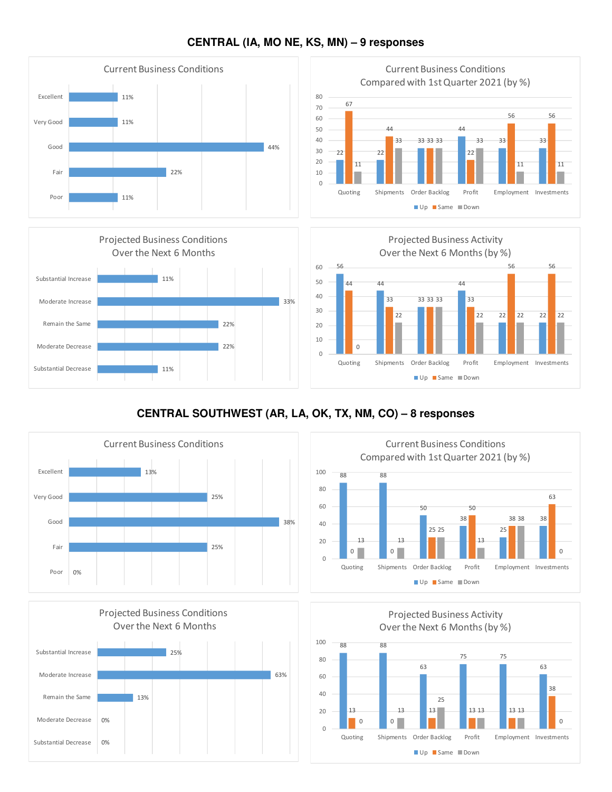

### **CENTRAL (IA, MO NE, KS, MN) – 9 responses**